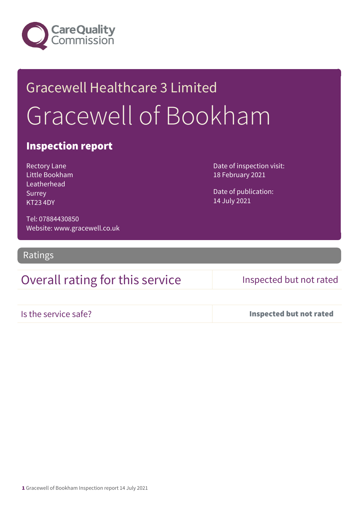

# Gracewell Healthcare 3 Limited Gracewell of Bookham

### Inspection report

Rectory Lane Little Bookham Leatherhead Surrey KT23 4DY

Date of inspection visit: 18 February 2021

Date of publication: 14 July 2021

Tel: 07884430850 Website: www.gracewell.co.uk

Ratings

### Overall rating for this service Inspected but not rated

Is the service safe? Inspected but not rated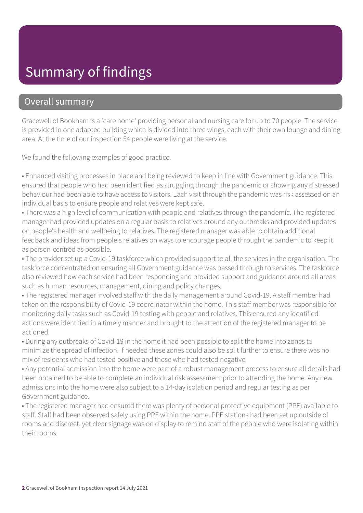## Summary of findings

### Overall summary

Gracewell of Bookham is a 'care home' providing personal and nursing care for up to 70 people. The service is provided in one adapted building which is divided into three wings, each with their own lounge and dining area. At the time of our inspection 54 people were living at the service.

We found the following examples of good practice.

• Enhanced visiting processes in place and being reviewed to keep in line with Government guidance. This ensured that people who had been identified as struggling through the pandemic or showing any distressed behaviour had been able to have access to visitors. Each visit through the pandemic was risk assessed on an individual basis to ensure people and relatives were kept safe.

• There was a high level of communication with people and relatives through the pandemic. The registered manager had provided updates on a regular basis to relatives around any outbreaks and provided updates on people's health and wellbeing to relatives. The registered manager was able to obtain additional feedback and ideas from people's relatives on ways to encourage people through the pandemic to keep it as person-centred as possible.

• The provider set up a Covid-19 taskforce which provided support to all the services in the organisation. The taskforce concentrated on ensuring all Government guidance was passed through to services. The taskforce also reviewed how each service had been responding and provided support and guidance around all areas such as human resources, management, dining and policy changes.

• The registered manager involved staff with the daily management around Covid-19. A staff member had taken on the responsibility of Covid-19 coordinator within the home. This staff member was responsible for monitoring daily tasks such as Covid-19 testing with people and relatives. This ensured any identified actions were identified in a timely manner and brought to the attention of the registered manager to be actioned.

• During any outbreaks of Covid-19 in the home it had been possible to split the home into zones to minimize the spread of infection. If needed these zones could also be split further to ensure there was no mix of residents who had tested positive and those who had tested negative.

• Any potential admission into the home were part of a robust management process to ensure all details had been obtained to be able to complete an individual risk assessment prior to attending the home. Any new admissions into the home were also subject to a 14-day isolation period and regular testing as per Government guidance.

• The registered manager had ensured there was plenty of personal protective equipment (PPE) available to staff. Staff had been observed safely using PPE within the home. PPE stations had been set up outside of rooms and discreet, yet clear signage was on display to remind staff of the people who were isolating within their rooms.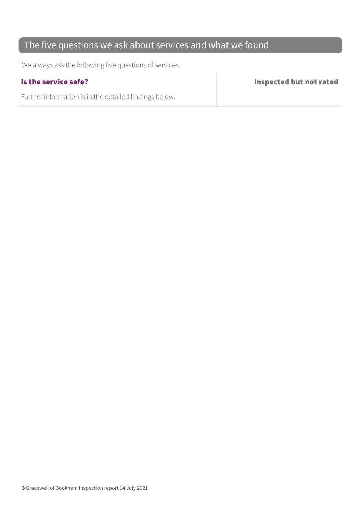### The five questions we ask about services and what we found

We always ask the following five questions of services.

Further information is in the detailed findings below.

Is the service safe? Inspected but not rated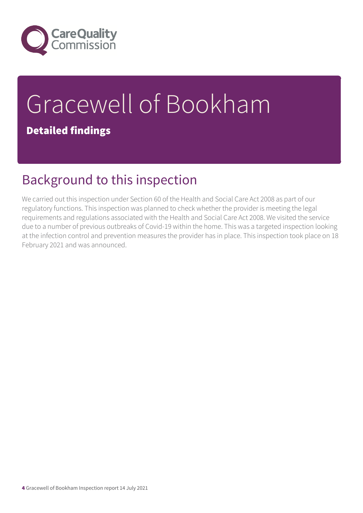

# Gracewell of Bookham Detailed findings

## Background to this inspection

We carried out this inspection under Section 60 of the Health and Social Care Act 2008 as part of our regulatory functions. This inspection was planned to check whether the provider is meeting the legal requirements and regulations associated with the Health and Social Care Act 2008. We visited the service due to a number of previous outbreaks of Covid-19 within the home. This was a targeted inspection looking at the infection control and prevention measures the provider has in place. This inspection took place on 18 February 2021 and was announced.